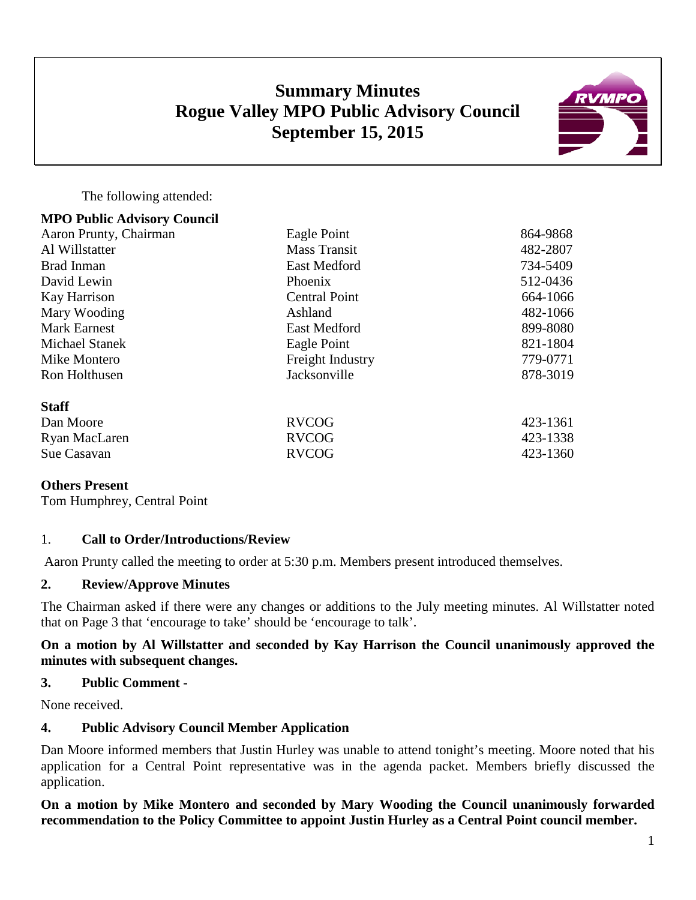# **Summary Minutes Rogue Valley MPO Public Advisory Council September 15, 2015**



The following attended:

| <b>MPO Public Advisory Council</b> |                      |          |
|------------------------------------|----------------------|----------|
| Aaron Prunty, Chairman             | Eagle Point          | 864-9868 |
| Al Willstatter                     | <b>Mass Transit</b>  | 482-2807 |
| Brad Inman                         | <b>East Medford</b>  | 734-5409 |
| David Lewin                        | Phoenix              | 512-0436 |
| Kay Harrison                       | <b>Central Point</b> | 664-1066 |
| Mary Wooding                       | Ashland              | 482-1066 |
| <b>Mark Earnest</b>                | East Medford         | 899-8080 |
| <b>Michael Stanek</b>              | Eagle Point          | 821-1804 |
| Mike Montero                       | Freight Industry     | 779-0771 |
| Ron Holthusen                      | Jacksonville         | 878-3019 |
| <b>Staff</b>                       |                      |          |
| Dan Moore                          | <b>RVCOG</b>         | 423-1361 |
| Ryan MacLaren                      | <b>RVCOG</b>         | 423-1338 |
| Sue Casavan                        | <b>RVCOG</b>         | 423-1360 |

#### **Others Present**

Tom Humphrey, Central Point

## 1. **Call to Order/Introductions/Review**

Aaron Prunty called the meeting to order at 5:30 p.m. Members present introduced themselves.

## **2. Review/Approve Minutes**

The Chairman asked if there were any changes or additions to the July meeting minutes. Al Willstatter noted that on Page 3 that 'encourage to take' should be 'encourage to talk'.

#### **On a motion by Al Willstatter and seconded by Kay Harrison the Council unanimously approved the minutes with subsequent changes.**

#### **3. Public Comment -**

None received.

## **4. Public Advisory Council Member Application**

Dan Moore informed members that Justin Hurley was unable to attend tonight's meeting. Moore noted that his application for a Central Point representative was in the agenda packet. Members briefly discussed the application.

**On a motion by Mike Montero and seconded by Mary Wooding the Council unanimously forwarded recommendation to the Policy Committee to appoint Justin Hurley as a Central Point council member.**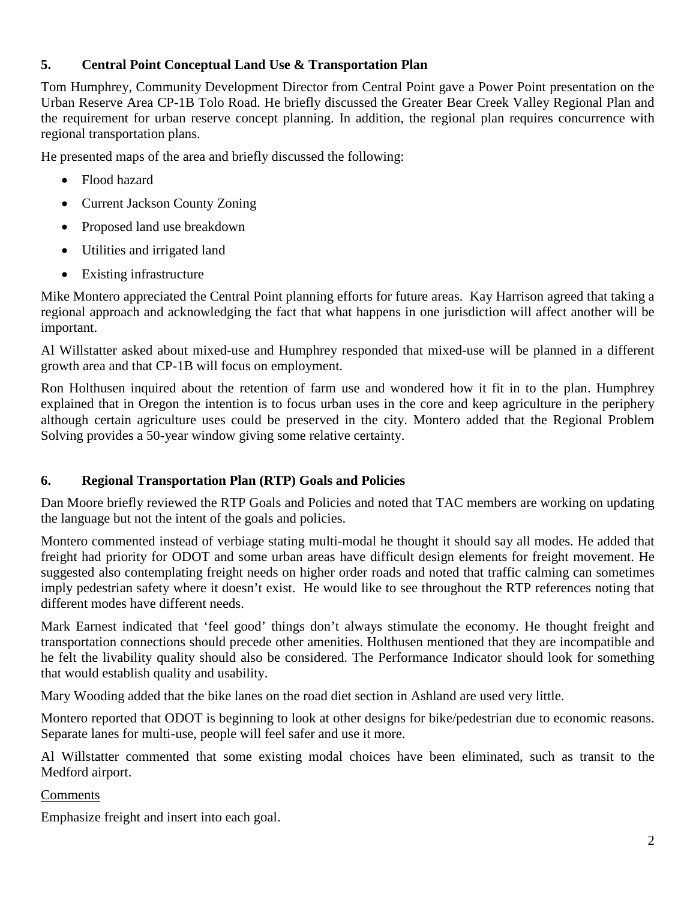# **5. Central Point Conceptual Land Use & Transportation Plan**

Tom Humphrey, Community Development Director from Central Point gave a Power Point presentation on the Urban Reserve Area CP-1B Tolo Road. He briefly discussed the Greater Bear Creek Valley Regional Plan and the requirement for urban reserve concept planning. In addition, the regional plan requires concurrence with regional transportation plans.

He presented maps of the area and briefly discussed the following:

- Flood hazard
- Current Jackson County Zoning
- Proposed land use breakdown
- Utilities and irrigated land
- Existing infrastructure

Mike Montero appreciated the Central Point planning efforts for future areas. Kay Harrison agreed that taking a regional approach and acknowledging the fact that what happens in one jurisdiction will affect another will be important.

Al Willstatter asked about mixed-use and Humphrey responded that mixed-use will be planned in a different growth area and that CP-1B will focus on employment.

Ron Holthusen inquired about the retention of farm use and wondered how it fit in to the plan. Humphrey explained that in Oregon the intention is to focus urban uses in the core and keep agriculture in the periphery although certain agriculture uses could be preserved in the city. Montero added that the Regional Problem Solving provides a 50-year window giving some relative certainty.

# **6. Regional Transportation Plan (RTP) Goals and Policies**

Dan Moore briefly reviewed the RTP Goals and Policies and noted that TAC members are working on updating the language but not the intent of the goals and policies.

Montero commented instead of verbiage stating multi-modal he thought it should say all modes. He added that freight had priority for ODOT and some urban areas have difficult design elements for freight movement. He suggested also contemplating freight needs on higher order roads and noted that traffic calming can sometimes imply pedestrian safety where it doesn't exist. He would like to see throughout the RTP references noting that different modes have different needs.

Mark Earnest indicated that 'feel good' things don't always stimulate the economy. He thought freight and transportation connections should precede other amenities. Holthusen mentioned that they are incompatible and he felt the livability quality should also be considered. The Performance Indicator should look for something that would establish quality and usability.

Mary Wooding added that the bike lanes on the road diet section in Ashland are used very little.

Montero reported that ODOT is beginning to look at other designs for bike/pedestrian due to economic reasons. Separate lanes for multi-use, people will feel safer and use it more.

Al Willstatter commented that some existing modal choices have been eliminated, such as transit to the Medford airport.

# Comments

Emphasize freight and insert into each goal.